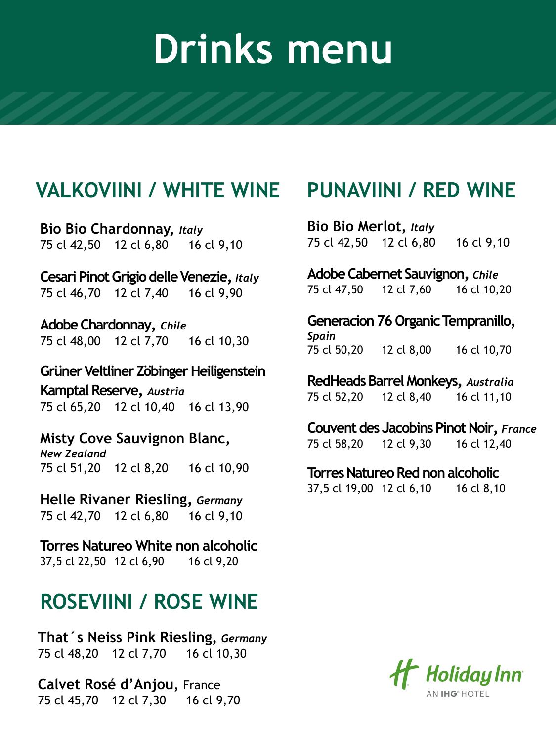#### **VALKOVIINI / WHITE WINE**

**Bio Bio Chardonnay,** *Italy* 75 cl 42,50 12 cl 6,80 16 cl 9,10

**Cesari Pinot Grigio delle Venezie,** *Italy* 75 cl 46,70 12 cl 7,40 16 cl 9,90

**Adobe Chardonnay,** *Chile* 75 cl 48,00 12 cl 7,70 16 cl 10,30

**Grüner Veltliner ZöbingerHeiligenstein Kamptal Reserve,** *Austria* 75 cl 65,20 12 cl 10,40 16 cl 13,90

**Misty Cove Sauvignon Blanc,** *New Zealand* 75 cl 51,20 12 cl 8,20 16 cl 10,90

**Helle Rivaner Riesling,** *Germany* 75 cl 42,70 12 cl 6,80 16 cl 9,10

**Torres Natureo White non alcoholic** 37,5 cl 22,50 12 cl 6,90 16 cl 9,20

### **ROSEVIINI / ROSE WINE**

**That´s Neiss Pink Riesling,** *Germany* 75 cl 48,20 12 cl 7,70 16 cl 10,30

**Calvet Rosé d'Anjou,** France 75 cl 45,70 12 cl 7,30 16 cl 9,70

### **PUNAVIINI / RED WINE**

**Bio Bio Merlot,** *Italy* 75 cl 42,50 12 cl 6,80 16 cl 9,10

**Adobe Cabernet Sauvignon,** *Chile* 75 cl 47,50 12 cl 7,60 16 cl 10,20

Generacion 76 Organic Tempranillo, *Spain* 75 cl 50,20 12 cl 8,00 16 cl 10,70

**RedHeadsBarrel Monkeys,** *Australia* 75 cl 52,20 12 cl 8,40 16 cl 11,10

**Couvent des Jacobins Pinot Noir,** *France* 75 cl 58,20 12 cl 9,30 16 cl 12,40

**Torres Natureo Red non alcoholic** 

37,5 cl 19,00 12 cl 6,10 16 cl 8,10

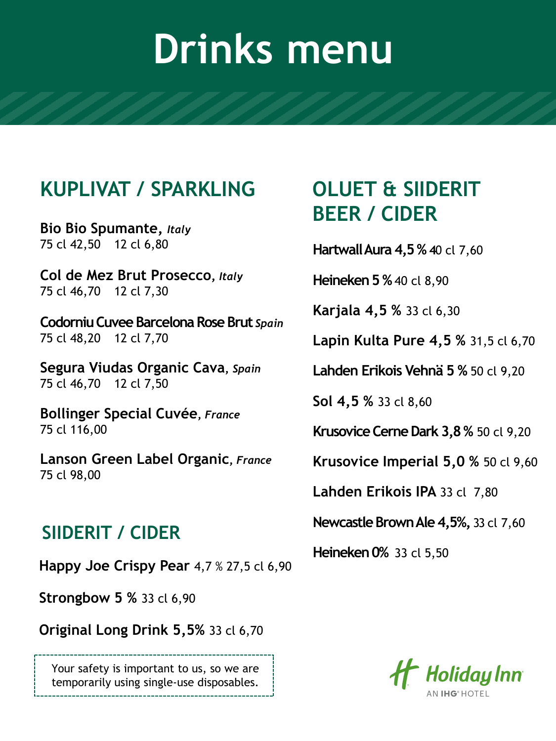### **KUPLIVAT / SPARKLING**

**Bio Bio Spumante,** *Italy* 75 cl 42,50 12 cl 6,80

**Col de Mez Brut Prosecco,** *Italy* 75 cl 46,70 12 cl 7,30

**CodorniuCuveeBarcelona Rose Brut** *Spain* 75 cl 48,20 12 cl 7,70

**Segura Viudas Organic Cava,** *Spain* 75 cl 46,70 12 cl 7,50

**Bollinger Special Cuvée,** *France* 75 cl 116,00

**Lanson Green Label Organic,** *France* 75 cl 98,00

#### **SIIDERIT / CIDER**

**Happy Joe Crispy Pear** 4,7 % 27,5 cl 6,90

**Strongbow 5 %** 33 cl 6,90

**Original Long Drink 5,5%** 33 cl 6,70

Your safety is important to us, so we are temporarily using single-use disposables.

### **OLUET & SIIDERIT BEER / CIDER**

**Hartwall Aura 4,5 % 40 cl 7,60** 

**Heineken 5 %** 40 cl 8,90

**Karjala 4,5 %** 33 cl 6,30

**Lapin Kulta Pure 4,5 %** 31,5 cl 6,70

**Lahden Erikois Vehnä 5 %** 50 cl 9,20

**Sol 4,5 %** 33 cl 8,60

**Krusovice Cerne Dark 3,8 % 50 cl 9,20** 

**Krusovice Imperial 5,0 %** 50 cl 9,60

**Lahden Erikois IPA** 33 cl 7,80

**Newcastle Brown Ale 4,5%,** 33 cl 7,60

**Heineken 0%** 33 cl 5,50

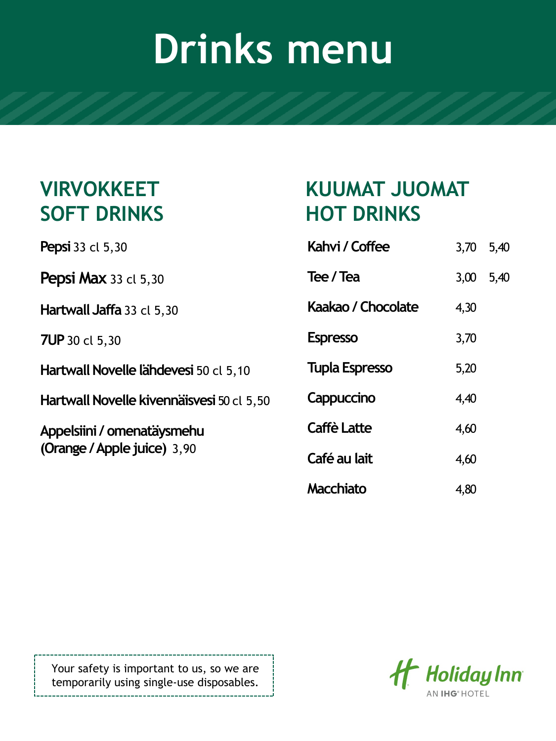### **VIRVOKKEET SOFT DRINKS**

**Pepsi** 33 cl 5,30

**Pepsi Max 33 cl 5,30** 

**Hartwall Jaffa** 33 cl 5,30

**7UP** 30 cl 5,30

**Hartwall Novelle lähdevesi** 50 cl 5,10

**Hartwall Novelle kivennäisvesi** 50 cl 5,50

**Appelsiini/ omenatäysmehu (Orange / Apple juice)** 3,90

|                   | KUUMAT JUOMAT |  |
|-------------------|---------------|--|
| <b>HOT DRINKS</b> |               |  |

| Kahvi / Coffee        | 3,70 5,40 |      |
|-----------------------|-----------|------|
| Tee / Tea             | 3,00      | 5,40 |
| Kaakao / Chocolate    | 4,30      |      |
| <b>Espresso</b>       | 3,70      |      |
| <b>Tupla Espresso</b> | 5,20      |      |
| Cappuccino            | 4,40      |      |
| <b>Caffè Latte</b>    | 4,60      |      |
| Café au lait          | 4,60      |      |
| Macchiato             | 4,80      |      |

Your safety is important to us, so we are temporarily using single-use disposables.